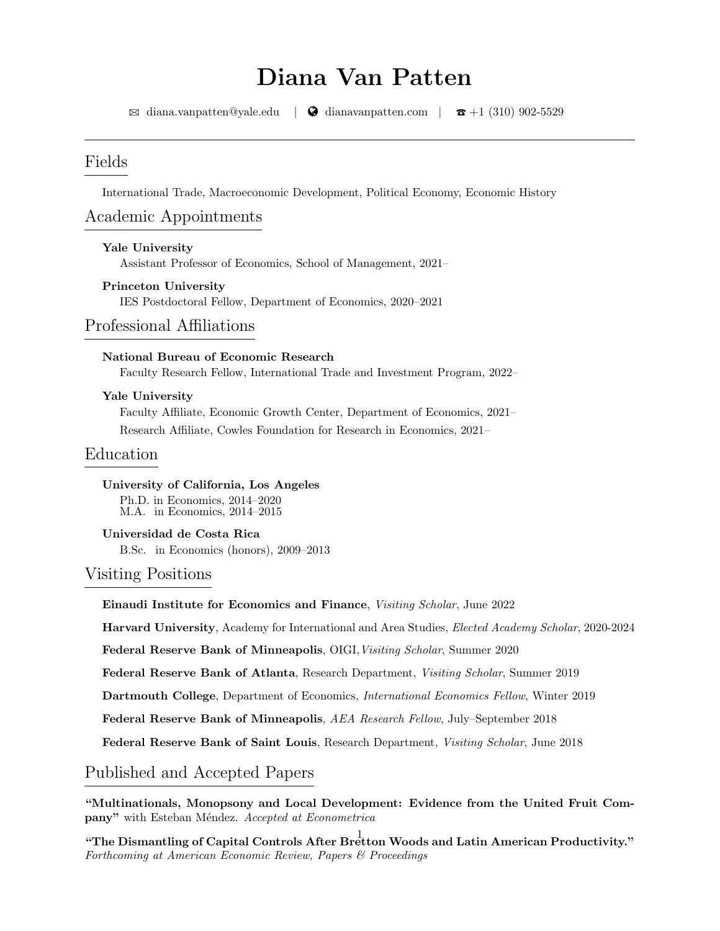# Diana Van Patten

 $\boxtimes$  [diana.vanpatten@yale.edu](mailto:diana.vanpatten@yale.edu) |  $\bullet$  [dianavanpatten.com](http://dianavanpatten.com) |  $\bullet$  +1 (310) 902-5529

## Fields

International Trade, Macroeconomic Development, Political Economy, Economic History

## Academic Appointments

Yale University Assistant Professor of Economics, School of Management, 2021–

#### Princeton University

IES Postdoctoral Fellow, Department of Economics, 2020–2021

## Professional Affiliations

#### National Bureau of Economic Research

Faculty Research Fellow, International Trade and Investment Program, 2022–

#### Yale University

Faculty Affiliate, Economic Growth Center, Department of Economics, 2021– Research Affiliate, Cowles Foundation for Research in Economics, 2021–

## Education

University of California, Los Angeles

Ph.D. in Economics, 2014–2020 M.A. in Economics, 2014–2015

#### Universidad de Costa Rica

B.Sc. in Economics (honors), 2009–2013

#### Visiting Positions

Einaudi Institute for Economics and Finance, Visiting Scholar, June 2022

Harvard University, Academy for International and Area Studies, Elected Academy Scholar, 2020-2024

Federal Reserve Bank of Minneapolis, OIGI, Visiting Scholar, Summer 2020

Federal Reserve Bank of Atlanta, Research Department, Visiting Scholar, Summer 2019

Dartmouth College, Department of Economics, International Economics Fellow, Winter 2019

Federal Reserve Bank of Minneapolis, AEA Research Fellow, July–September 2018

Federal Reserve Bank of Saint Louis, Research Department, Visiting Scholar, June 2018

## Published and Accepted Papers

"Multinationals, Monopsony and Local Development: Evidence from the United Fruit Company" with Esteban Méndez. Accepted at Econometrica

"The Dismantling of Capital Controls After Bretton Woods and Latin American Productivity." Forthcoming at American Economic Review, Papers & Proceedings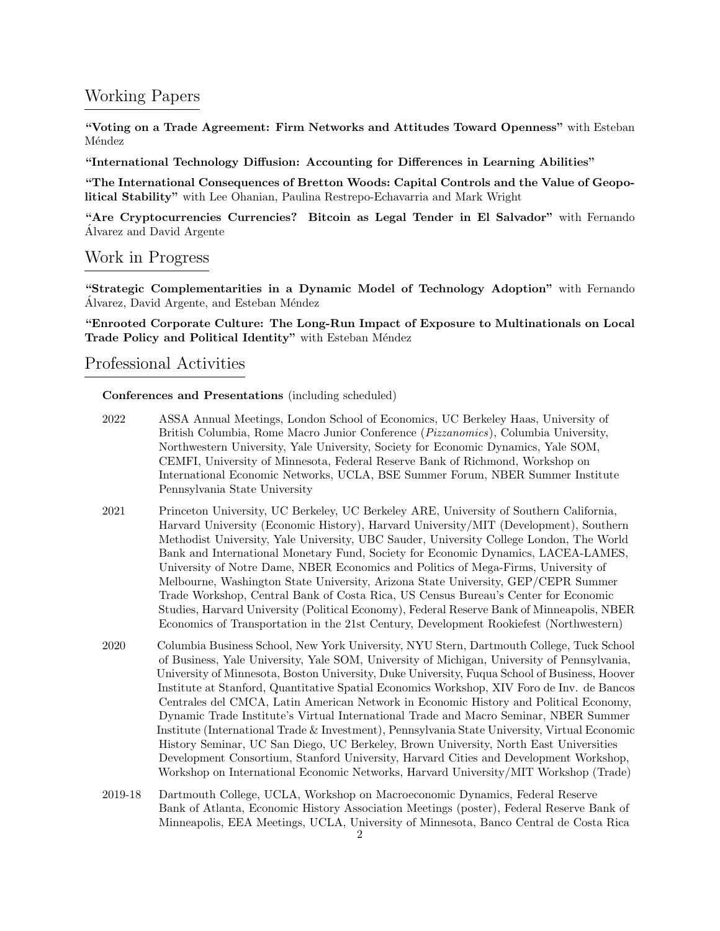## Working Papers

"Voting on a Trade Agreement: Firm Networks and Attitudes Toward Openness" with Esteban Méndez

"International Technology Diffusion: Accounting for Differences in Learning Abilities"

"The International Consequences of Bretton Woods: Capital Controls and the Value of Geopolitical Stability" with Lee Ohanian, Paulina Restrepo-Echavarria and Mark Wright

"Are Cryptocurrencies Currencies? Bitcoin as Legal Tender in El Salvador" with Fernando Alvarez and David Argente ´

## Work in Progress

"Strategic Complementarities in a Dynamic Model of Technology Adoption" with Fernando Álvarez, David Argente, and Esteban Méndez

"Enrooted Corporate Culture: The Long-Run Impact of Exposure to Multinationals on Local Trade Policy and Political Identity" with Esteban Méndez

### Professional Activities

Conferences and Presentations (including scheduled)

- 2022 ASSA Annual Meetings, London School of Economics, UC Berkeley Haas, University of 2019 British Columbia, Rome Macro Junior Conference (Pizzanomics), Columbia University, 2019 Northwestern University, Yale University, Society for Economic Dynamics, Yale SOM, 2019 CEMFI, University of Minnesota, Federal Reserve Bank of Richmond, Workshop on 2019 International Economic Networks, UCLA, BSE Summer Forum, NBER Summer Institute Pennsylvania State University
- 2021 Princeton University, UC Berkeley, UC Berkeley ARE, University of Southern California, 2019 Harvard University (Economic History), Harvard University/MIT (Development), Southern 2019 Methodist University, Yale University, UBC Sauder, University College London, The World Bank and International Monetary Fund, Society for Economic Dynamics, LACEA-LAMES, 2019 University of Notre Dame, NBER Economics and Politics of Mega-Firms, University of 2019 Melbourne, Washington State University, Arizona State University, GEP/CEPR Summer 2019 Trade Workshop, Central Bank of Costa Rica, US Census Bureau's Center for Economic 2019 Studies, Harvard University (Political Economy), Federal Reserve Bank of Minneapolis, NBER 2019 Economics of Transportation in the 21st Century, Development Rookiefest (Northwestern)
- 2020 Columbia Business School, New York University, NYU Stern, Dartmouth College, Tuck School 2019 of Business, Yale University, Yale SOM, University of Michigan, University of Pennsylvania, 2019 University of Minnesota, Boston University, Duke University, Fuqua School of Business, Hoover 2019 Institute at Stanford, Quantitative Spatial Economics Workshop, XIV Foro de Inv. de Bancos 2019 Centrales del CMCA, Latin American Network in Economic History and Political Economy, 2019 Dynamic Trade Institute's Virtual International Trade and Macro Seminar, NBER Summer 2019 Institute (International Trade & Investment), Pennsylvania State University, Virtual Economic 2019 History Seminar, UC San Diego, UC Berkeley, Brown University, North East Universities 2019 Development Consortium, Stanford University, Harvard Cities and Development Workshop, 2019 Workshop on International Economic Networks, Harvard University/MIT Workshop (Trade)
- 2019-18 Dartmouth College, UCLA, Workshop on Macroeconomic Dynamics, Federal Reserve 2019 Bank of Atlanta, Economic History Association Meetings (poster), Federal Reserve Bank of 2019 Minneapolis, EEA Meetings, UCLA, University of Minnesota, Banco Central de Costa Rica